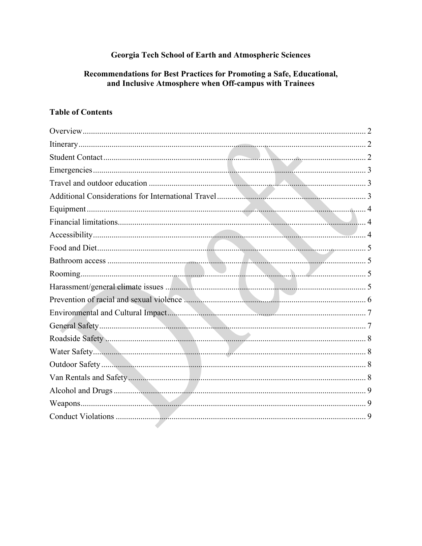### Georgia Tech School of Earth and Atmospheric Sciences

#### Recommendations for Best Practices for Promoting a Safe, Educational, and Inclusive Atmosphere when Off-campus with Trainees

#### **Table of Contents**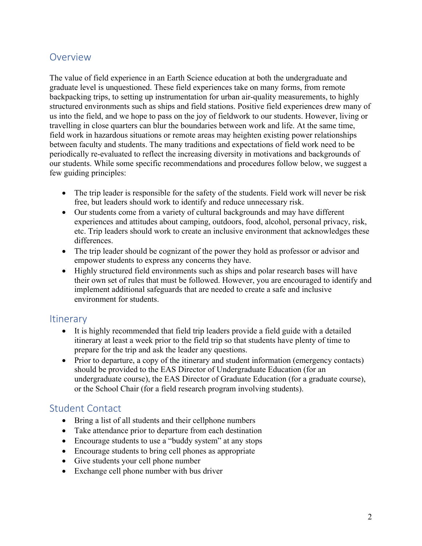### Overview

The value of field experience in an Earth Science education at both the undergraduate and graduate level is unquestioned. These field experiences take on many forms, from remote backpacking trips, to setting up instrumentation for urban air-quality measurements, to highly structured environments such as ships and field stations. Positive field experiences drew many of us into the field, and we hope to pass on the joy of fieldwork to our students. However, living or travelling in close quarters can blur the boundaries between work and life. At the same time, field work in hazardous situations or remote areas may heighten existing power relationships between faculty and students. The many traditions and expectations of field work need to be periodically re-evaluated to reflect the increasing diversity in motivations and backgrounds of our students. While some specific recommendations and procedures follow below, we suggest a few guiding principles:

- The trip leader is responsible for the safety of the students. Field work will never be risk free, but leaders should work to identify and reduce unnecessary risk.
- Our students come from a variety of cultural backgrounds and may have different experiences and attitudes about camping, outdoors, food, alcohol, personal privacy, risk, etc. Trip leaders should work to create an inclusive environment that acknowledges these differences.
- The trip leader should be cognizant of the power they hold as professor or advisor and empower students to express any concerns they have.
- Highly structured field environments such as ships and polar research bases will have their own set of rules that must be followed. However, you are encouraged to identify and implement additional safeguards that are needed to create a safe and inclusive environment for students.

#### **Itinerary**

- It is highly recommended that field trip leaders provide a field guide with a detailed itinerary at least a week prior to the field trip so that students have plenty of time to prepare for the trip and ask the leader any questions.
- Prior to departure, a copy of the itinerary and student information (emergency contacts) should be provided to the EAS Director of Undergraduate Education (for an undergraduate course), the EAS Director of Graduate Education (for a graduate course), or the School Chair (for a field research program involving students).

### Student Contact

- Bring a list of all students and their cellphone numbers
- Take attendance prior to departure from each destination
- Encourage students to use a "buddy system" at any stops
- Encourage students to bring cell phones as appropriate
- Give students your cell phone number
- Exchange cell phone number with bus driver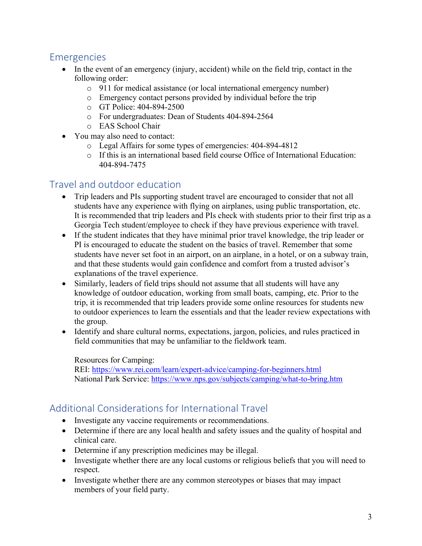### Emergencies

- In the event of an emergency (injury, accident) while on the field trip, contact in the following order:
	- o 911 for medical assistance (or local international emergency number)
	- o Emergency contact persons provided by individual before the trip
	- o GT Police: 404-894-2500
	- o For undergraduates: Dean of Students 404-894-2564
	- o EAS School Chair
- You may also need to contact:
	- o Legal Affairs for some types of emergencies: 404-894-4812
	- o If this is an international based field course Office of International Education: 404-894-7475

### Travel and outdoor education

- Trip leaders and PIs supporting student travel are encouraged to consider that not all students have any experience with flying on airplanes, using public transportation, etc. It is recommended that trip leaders and PIs check with students prior to their first trip as a Georgia Tech student/employee to check if they have previous experience with travel.
- If the student indicates that they have minimal prior travel knowledge, the trip leader or PI is encouraged to educate the student on the basics of travel. Remember that some students have never set foot in an airport, on an airplane, in a hotel, or on a subway train, and that these students would gain confidence and comfort from a trusted advisor's explanations of the travel experience.
- Similarly, leaders of field trips should not assume that all students will have any knowledge of outdoor education, working from small boats, camping, etc. Prior to the trip, it is recommended that trip leaders provide some online resources for students new to outdoor experiences to learn the essentials and that the leader review expectations with the group.
- Identify and share cultural norms, expectations, jargon, policies, and rules practiced in field communities that may be unfamiliar to the fieldwork team.

#### Resources for Camping:

REI: https://www.rei.com/learn/expert-advice/camping-for-beginners.html National Park Service: https://www.nps.gov/subjects/camping/what-to-bring.htm

### Additional Considerations for International Travel

- Investigate any vaccine requirements or recommendations.
- Determine if there are any local health and safety issues and the quality of hospital and clinical care.
- Determine if any prescription medicines may be illegal.
- Investigate whether there are any local customs or religious beliefs that you will need to respect.
- Investigate whether there are any common stereotypes or biases that may impact members of your field party.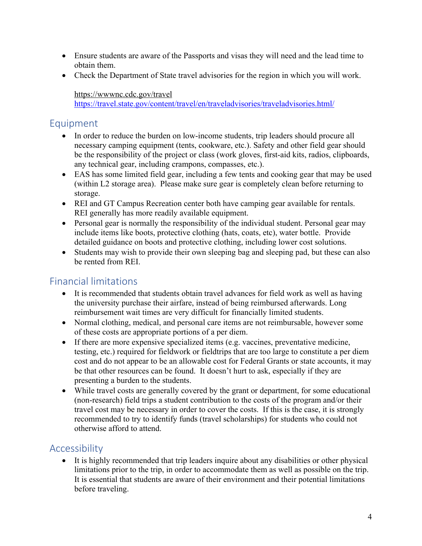- Ensure students are aware of the Passports and visas they will need and the lead time to obtain them.
- Check the Department of State travel advisories for the region in which you will work.

#### https://wwwnc.cdc.gov/travel

https://travel.state.gov/content/travel/en/traveladvisories/traveladvisories.html/

### Equipment

- In order to reduce the burden on low-income students, trip leaders should procure all necessary camping equipment (tents, cookware, etc.). Safety and other field gear should be the responsibility of the project or class (work gloves, first-aid kits, radios, clipboards, any technical gear, including crampons, compasses, etc.).
- EAS has some limited field gear, including a few tents and cooking gear that may be used (within L2 storage area). Please make sure gear is completely clean before returning to storage.
- REI and GT Campus Recreation center both have camping gear available for rentals. REI generally has more readily available equipment.
- Personal gear is normally the responsibility of the individual student. Personal gear may include items like boots, protective clothing (hats, coats, etc), water bottle. Provide detailed guidance on boots and protective clothing, including lower cost solutions.
- Students may wish to provide their own sleeping bag and sleeping pad, but these can also be rented from REI.

## Financial limitations

- It is recommended that students obtain travel advances for field work as well as having the university purchase their airfare, instead of being reimbursed afterwards. Long reimbursement wait times are very difficult for financially limited students.
- Normal clothing, medical, and personal care items are not reimbursable, however some of these costs are appropriate portions of a per diem.
- If there are more expensive specialized items (e.g. vaccines, preventative medicine, testing, etc.) required for fieldwork or fieldtrips that are too large to constitute a per diem cost and do not appear to be an allowable cost for Federal Grants or state accounts, it may be that other resources can be found. It doesn't hurt to ask, especially if they are presenting a burden to the students.
- While travel costs are generally covered by the grant or department, for some educational (non-research) field trips a student contribution to the costs of the program and/or their travel cost may be necessary in order to cover the costs. If this is the case, it is strongly recommended to try to identify funds (travel scholarships) for students who could not otherwise afford to attend.

# Accessibility

• It is highly recommended that trip leaders inquire about any disabilities or other physical limitations prior to the trip, in order to accommodate them as well as possible on the trip. It is essential that students are aware of their environment and their potential limitations before traveling.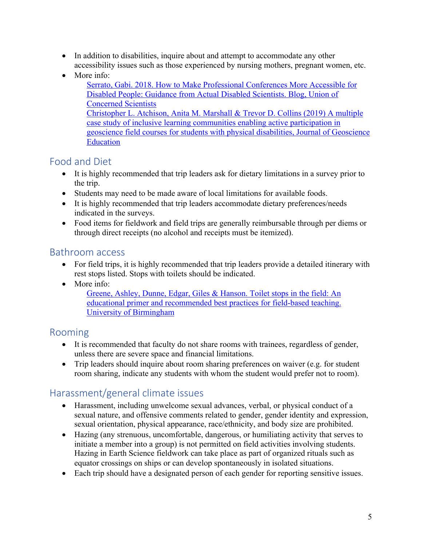- In addition to disabilities, inquire about and attempt to accommodate any other accessibility issues such as those experienced by nursing mothers, pregnant women, etc.
- More info: Serrato, Gabi. 2018. How to Make Professional Conferences More Accessible for Disabled People: Guidance from Actual Disabled Scientists. Blog, Union of Concerned Scientists Christopher L. Atchison, Anita M. Marshall & Trevor D. Collins (2019) A multiple case study of inclusive learning communities enabling active participation in geoscience field courses for students with physical disabilities, Journal of Geoscience **Education**

### Food and Diet

- It is highly recommended that trip leaders ask for dietary limitations in a survey prior to the trip.
- Students may need to be made aware of local limitations for available foods.
- It is highly recommended that trip leaders accommodate dietary preferences/needs indicated in the surveys.
- Food items for fieldwork and field trips are generally reimbursable through per diems or through direct receipts (no alcohol and receipts must be itemized).

#### Bathroom access

- For field trips, it is highly recommended that trip leaders provide a detailed itinerary with rest stops listed. Stops with toilets should be indicated.
- More info:

Greene, Ashley, Dunne, Edgar, Giles & Hanson. Toilet stops in the field: An educational primer and recommended best practices for field-based teaching. University of Birmingham

### Rooming

- It is recommended that faculty do not share rooms with trainees, regardless of gender, unless there are severe space and financial limitations.
- Trip leaders should inquire about room sharing preferences on waiver (e.g. for student room sharing, indicate any students with whom the student would prefer not to room).

## Harassment/general climate issues

- Harassment, including unwelcome sexual advances, verbal, or physical conduct of a sexual nature, and offensive comments related to gender, gender identity and expression, sexual orientation, physical appearance, race/ethnicity, and body size are prohibited.
- Hazing (any strenuous, uncomfortable, dangerous, or humiliating activity that serves to initiate a member into a group) is not permitted on field activities involving students. Hazing in Earth Science fieldwork can take place as part of organized rituals such as equator crossings on ships or can develop spontaneously in isolated situations.
- Each trip should have a designated person of each gender for reporting sensitive issues.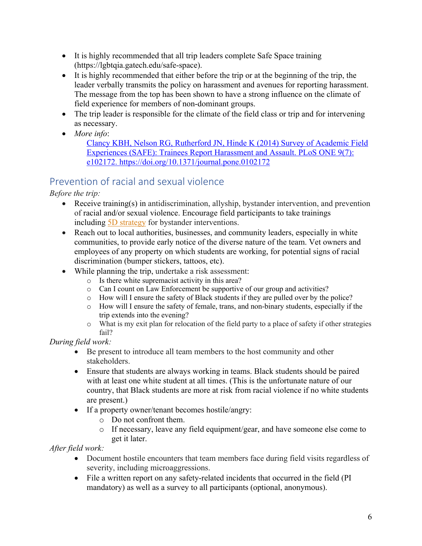- It is highly recommended that all trip leaders complete Safe Space training (https://lgbtqia.gatech.edu/safe-space).
- It is highly recommended that either before the trip or at the beginning of the trip, the leader verbally transmits the policy on harassment and avenues for reporting harassment. The message from the top has been shown to have a strong influence on the climate of field experience for members of non-dominant groups.
- The trip leader is responsible for the climate of the field class or trip and for intervening as necessary.
- *More info*:

Clancy KBH, Nelson RG, Rutherford JN, Hinde K (2014) Survey of Academic Field Experiences (SAFE): Trainees Report Harassment and Assault. PLoS ONE 9(7): e102172. https://doi.org/10.1371/journal.pone.0102172

## Prevention of racial and sexual violence

*Before the trip:*

- Receive training(s) in antidiscrimination, allyship, bystander intervention, and prevention of racial and/or sexual violence. Encourage field participants to take trainings including 5D strategy for bystander interventions.
- Reach out to local authorities, businesses, and community leaders, especially in white communities, to provide early notice of the diverse nature of the team. Vet owners and employees of any property on which students are working, for potential signs of racial discrimination (bumper stickers, tattoos, etc).
- While planning the trip, undertake a risk assessment:
	- o Is there white supremacist activity in this area?
	- o Can I count on Law Enforcement be supportive of our group and activities?
	- o How will I ensure the safety of Black students if they are pulled over by the police?
	- o How will I ensure the safety of female, trans, and non-binary students, especially if the trip extends into the evening?
	- o What is my exit plan for relocation of the field party to a place of safety if other strategies fail?

*During field work:* 

- Be present to introduce all team members to the host community and other stakeholders.
- Ensure that students are always working in teams. Black students should be paired with at least one white student at all times. (This is the unfortunate nature of our country, that Black students are more at risk from racial violence if no white students are present.)
- If a property owner/tenant becomes hostile/angry:
	- o Do not confront them.
	- o If necessary, leave any field equipment/gear, and have someone else come to get it later.

*After field work:* 

- Document hostile encounters that team members face during field visits regardless of severity, including microaggressions.
- File a written report on any safety-related incidents that occurred in the field (PI mandatory) as well as a survey to all participants (optional, anonymous).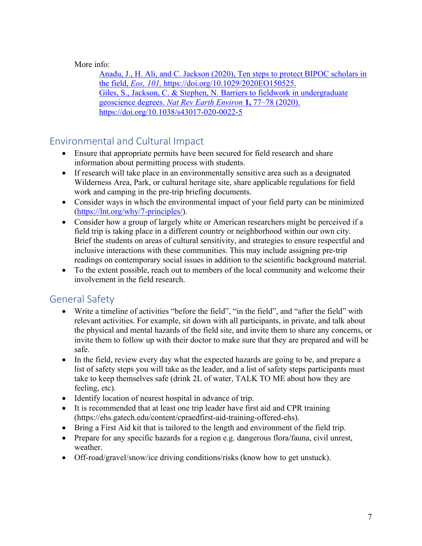#### More info:

Anadu, J., H. Ali, and C. Jackson (2020), Ten steps to protect BIPOC scholars in the field, *Eos, 101,* https://doi.org/10.1029/2020EO150525. Giles, S., Jackson, C. & Stephen, N. Barriers to fieldwork in undergraduate geoscience degrees. *Nat Rev Earth Environ* **1,** 77–78 (2020). https://doi.org/10.1038/s43017-020-0022-5

# Environmental and Cultural Impact

- Ensure that appropriate permits have been secured for field research and share information about permitting process with students.
- If research will take place in an environmentally sensitive area such as a designated Wilderness Area, Park, or cultural heritage site, share applicable regulations for field work and camping in the pre-trip briefing documents.
- Consider ways in which the environmental impact of your field party can be minimized (https://lnt.org/why/7-principles/).
- Consider how a group of largely white or American researchers might be perceived if a field trip is taking place in a different country or neighborhood within our own city. Brief the students on areas of cultural sensitivity, and strategies to ensure respectful and inclusive interactions with these communities. This may include assigning pre-trip readings on contemporary social issues in addition to the scientific background material.
- To the extent possible, reach out to members of the local community and welcome their involvement in the field research.

## General Safety

- Write a timeline of activities "before the field", "in the field", and "after the field" with relevant activities. For example, sit down with all participants, in private, and talk about the physical and mental hazards of the field site, and invite them to share any concerns, or invite them to follow up with their doctor to make sure that they are prepared and will be safe.
- In the field, review every day what the expected hazards are going to be, and prepare a list of safety steps you will take as the leader, and a list of safety steps participants must take to keep themselves safe (drink 2L of water, TALK TO ME about how they are feeling, etc).
- Identify location of nearest hospital in advance of trip.
- It is recommended that at least one trip leader have first aid and CPR training (https://ehs.gatech.edu/content/cpraedfirst-aid-training-offered-ehs).
- Bring a First Aid kit that is tailored to the length and environment of the field trip.
- Prepare for any specific hazards for a region e.g. dangerous flora/fauna, civil unrest, weather.
- Off-road/gravel/snow/ice driving conditions/risks (know how to get unstuck).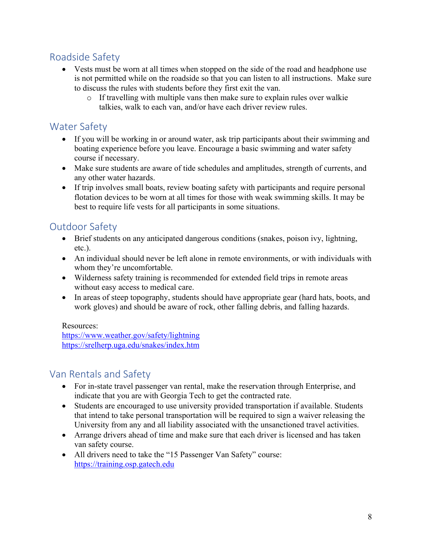# Roadside Safety

- Vests must be worn at all times when stopped on the side of the road and headphone use is not permitted while on the roadside so that you can listen to all instructions. Make sure to discuss the rules with students before they first exit the van.
	- $\circ$  If travelling with multiple vans then make sure to explain rules over walkie talkies, walk to each van, and/or have each driver review rules.

# Water Safety

- If you will be working in or around water, ask trip participants about their swimming and boating experience before you leave. Encourage a basic swimming and water safety course if necessary.
- Make sure students are aware of tide schedules and amplitudes, strength of currents, and any other water hazards.
- If trip involves small boats, review boating safety with participants and require personal flotation devices to be worn at all times for those with weak swimming skills. It may be best to require life vests for all participants in some situations.

## Outdoor Safety

- Brief students on any anticipated dangerous conditions (snakes, poison ivy, lightning, etc.).
- An individual should never be left alone in remote environments, or with individuals with whom they're uncomfortable.
- Wilderness safety training is recommended for extended field trips in remote areas without easy access to medical care.
- In areas of steep topography, students should have appropriate gear (hard hats, boots, and work gloves) and should be aware of rock, other falling debris, and falling hazards.

#### Resources:

https://www.weather.gov/safety/lightning https://srelherp.uga.edu/snakes/index.htm

## Van Rentals and Safety

- For in-state travel passenger van rental, make the reservation through Enterprise, and indicate that you are with Georgia Tech to get the contracted rate.
- Students are encouraged to use university provided transportation if available. Students that intend to take personal transportation will be required to sign a waiver releasing the University from any and all liability associated with the unsanctioned travel activities.
- Arrange drivers ahead of time and make sure that each driver is licensed and has taken van safety course.
- All drivers need to take the "15 Passenger Van Safety" course: https://training.osp.gatech.edu